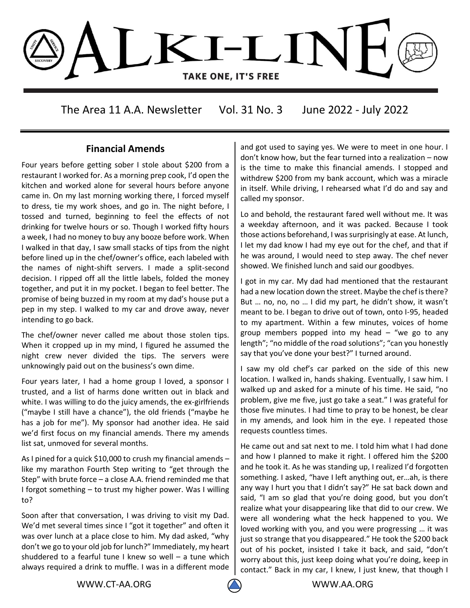

The Area 11 A.A. Newsletter Vol. 31 No. 3 June 2022 - July 2022

### **Financial Amends**

Four years before getting sober I stole about \$200 from a restaurant I worked for. As a morning prep cook, I'd open the kitchen and worked alone for several hours before anyone came in. On my last morning working there, I forced myself to dress, tie my work shoes, and go in. The night before, I tossed and turned, beginning to feel the effects of not drinking for twelve hours or so. Though I worked fifty hours a week, I had no money to buy any booze before work. When I walked in that day, I saw small stacks of tips from the night before lined up in the chef/owner's office, each labeled with the names of night-shift servers. I made a split-second decision. I ripped off all the little labels, folded the money together, and put it in my pocket. I began to feel better. The promise of being buzzed in my room at my dad's house put a pep in my step. I walked to my car and drove away, never intending to go back.

The chef/owner never called me about those stolen tips. When it cropped up in my mind, I figured he assumed the night crew never divided the tips. The servers were unknowingly paid out on the business's own dime.

Four years later, I had a home group I loved, a sponsor I trusted, and a list of harms done written out in black and white. I was willing to do the juicy amends, the ex-girlfriends ("maybe I still have a chance"), the old friends ("maybe he has a job for me"). My sponsor had another idea. He said we'd first focus on my financial amends. There my amends list sat, unmoved for several months.

As I pined for a quick \$10,000 to crush my financial amends – like my marathon Fourth Step writing to "get through the Step" with brute force – a close A.A. friend reminded me that I forgot something – to trust my higher power. Was I willing to?

Soon after that conversation, I was driving to visit my Dad. We'd met several times since I "got it together" and often it was over lunch at a place close to him. My dad asked, "why don't we go to your old job for lunch?" Immediately, my heart shuddered to a fearful tune I knew so well – a tune which always required a drink to muffle. I was in a different mode and got used to saying yes. We were to meet in one hour. I don't know how, but the fear turned into a realization – now is the time to make this financial amends. I stopped and withdrew \$200 from my bank account, which was a miracle in itself. While driving, I rehearsed what I'd do and say and called my sponsor.

Lo and behold, the restaurant fared well without me. It was a weekday afternoon, and it was packed. Because I took those actions beforehand, I was surprisingly at ease. At lunch, I let my dad know I had my eye out for the chef, and that if he was around, I would need to step away. The chef never showed. We finished lunch and said our goodbyes.

I got in my car. My dad had mentioned that the restaurant had a new location down the street. Maybe the chef is there? But … no, no, no … I did my part, he didn't show, it wasn't meant to be. I began to drive out of town, onto I-95, headed to my apartment. Within a few minutes, voices of home group members popped into my head  $-$  "we go to any length"; "no middle of the road solutions"; "can you honestly say that you've done your best?" I turned around.

I saw my old chef's car parked on the side of this new location. I walked in, hands shaking. Eventually, I saw him. I walked up and asked for a minute of his time. He said, "no problem, give me five, just go take a seat." I was grateful for those five minutes. I had time to pray to be honest, be clear in my amends, and look him in the eye. I repeated those requests countless times.

He came out and sat next to me. I told him what I had done and how I planned to make it right. I offered him the \$200 and he took it. As he was standing up, I realized I'd forgotten something. I asked, "have I left anything out, er…ah, is there any way I hurt you that I didn't say?" He sat back down and said, "I am so glad that you're doing good, but you don't realize what your disappearing like that did to our crew. We were all wondering what the heck happened to you. We loved working with you, and you were progressing … it was just so strange that you disappeared." He took the \$200 back out of his pocket, insisted I take it back, and said, "don't worry about this, just keep doing what you're doing, keep in contact." Back in my car, I knew, I just knew, that though I

WWW.CT-AA.ORG WWW.AA.ORG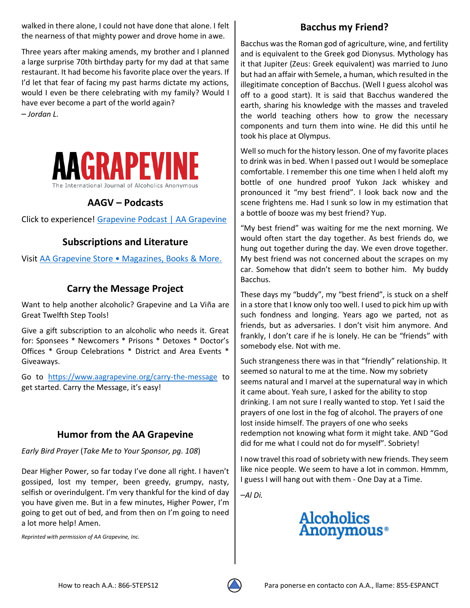walked in there alone, I could not have done that alone. I felt the nearness of that mighty power and drove home in awe.

Three years after making amends, my brother and I planned a large surprise 70th birthday party for my dad at that same restaurant. It had become his favorite place over the years. If I'd let that fear of facing my past harms dictate my actions, would I even be there celebrating with my family? Would I have ever become a part of the world again?

– *Jordan L.*



# **AAGV – Podcasts**

Click to experience! [Grapevine Podcast | AA Grapevine](https://www.aagrapevine.org/podcast?utm_source=NL&utm_medium=eblast&utm_campaign=GV_Podcast)

# **Subscriptions and Literature**

Visit [AA Grapevine Store • Magazines, Books & More](https://store.aagrapevine.org/).

# **Carry the Message Project**

Want to help another alcoholic? Grapevine and La Viña are Great Twelfth Step Tools!

Give a gift subscription to an alcoholic who needs it. Great for: Sponsees \* Newcomers \* Prisons \* Detoxes \* Doctor's Offices \* Group Celebrations \* District and Area Events \* Giveaways.

Go to <https://www.aagrapevine.org/carry-the-message> to get started. Carry the Message, it's easy!

## **Humor from the AA Grapevine**

*Early Bird Prayer* (*Take Me to Your Sponsor, pg. 108*)

Dear Higher Power, so far today I've done all right. I haven't gossiped, lost my temper, been greedy, grumpy, nasty, selfish or overindulgent. I'm very thankful for the kind of day you have given me. But in a few minutes, Higher Power, I'm going to get out of bed, and from then on I'm going to need a lot more help! Amen.

*Reprinted with permission of AA Grapevine, Inc.*

# **Bacchus my Friend?**

Bacchus was the Roman god o[f agriculture,](https://simple.wikipedia.org/wiki/Agriculture) [wine,](https://simple.wikipedia.org/wiki/Wine) and fertility and is equivalent to the Greek god [Dionysus.](https://simple.wikipedia.org/wiki/Dionysus) Mythology has it that Jupiter (Zeus: Greek equivalent) was married to Juno but had an affair with Semele, a human, which resulted in the illegitimate conception of Bacchus. (Well I guess alcohol was off to a good start). It is said that Bacchus wandered the earth, sharing his knowledge with the masses and traveled the world teaching others how to grow the necessary components and turn them into wine. He did this until he took his place at Olympus.

Well so much for the history lesson. One of my favorite places to drink was in bed. When I passed out I would be someplace comfortable. I remember this one time when I held aloft my bottle of one hundred proof Yukon Jack whiskey and pronounced it "my best friend". I look back now and the scene frightens me. Had I sunk so low in my estimation that a bottle of booze was my best friend? Yup.

"My best friend" was waiting for me the next morning. We would often start the day together. As best friends do, we hung out together during the day. We even drove together. My best friend was not concerned about the scrapes on my car. Somehow that didn't seem to bother him. My buddy Bacchus.

These days my "buddy", my "best friend", is stuck on a shelf in a store that I know only too well. I used to pick him up with such fondness and longing. Years ago we parted, not as friends, but as adversaries. I don't visit him anymore. And frankly, I don't care if he is lonely. He can be "friends" with somebody else. Not with me.

Such strangeness there was in that "friendly" relationship. It seemed so natural to me at the time. Now my sobriety seems natural and I marvel at the supernatural way in which it came about. Yeah sure, I asked for the ability to stop drinking. I am not sure I really wanted to stop. Yet I said the prayers of one lost in the fog of alcohol. The prayers of one lost inside himself. The prayers of one who seeks redemption not knowing what form it might take. AND "God did for me what I could not do for myself". Sobriety!

I now travel this road of sobriety with new friends. They seem like nice people. We seem to have a lot in common. Hmmm, I guess I will hang out with them - One Day at a Time.

–*Al Di.* 

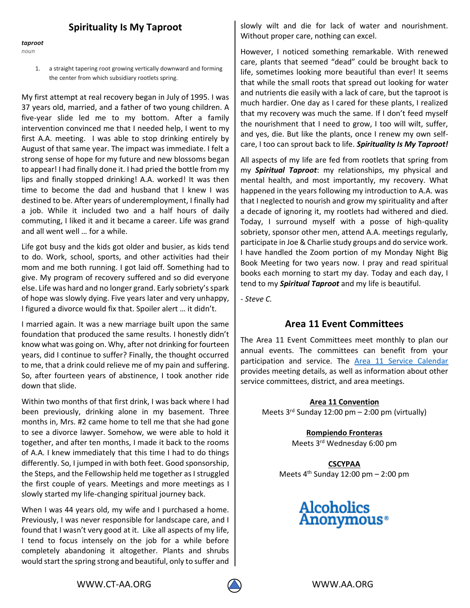## **Spirituality Is My Taproot**

*taproot noun*

> a straight tapering root growing vertically downward and forming the center from which subsidiary rootlets spring.

My first attempt at real recovery began in July of 1995. I was 37 years old, married, and a father of two young children. A five-year slide led me to my bottom. After a family intervention convinced me that I needed help, I went to my first A.A. meeting. I was able to stop drinking entirely by August of that same year. The impact was immediate. I felt a strong sense of hope for my future and new blossoms began to appear! I had finally done it. I had pried the bottle from my lips and finally stopped drinking! A.A. worked! It was then time to become the dad and husband that I knew I was destined to be. After years of underemployment, I finally had a job. While it included two and a half hours of daily commuting, I liked it and it became a career. Life was grand and all went well … for a while.

Life got busy and the kids got older and busier, as kids tend to do. Work, school, sports, and other activities had their mom and me both running. I got laid off. Something had to give. My program of recovery suffered and so did everyone else. Life was hard and no longer grand. Early sobriety's spark of hope was slowly dying. Five years later and very unhappy, I figured a divorce would fix that. Spoiler alert … it didn't.

I married again. It was a new marriage built upon the same foundation that produced the same results. I honestly didn't know what was going on. Why, after not drinking for fourteen years, did I continue to suffer? Finally, the thought occurred to me, that a drink could relieve me of my pain and suffering. So, after fourteen years of abstinence, I took another ride down that slide.

Within two months of that first drink, I was back where I had been previously, drinking alone in my basement. Three months in, Mrs. #2 came home to tell me that she had gone to see a divorce lawyer. Somehow, we were able to hold it together, and after ten months, I made it back to the rooms of A.A. I knew immediately that this time I had to do things differently. So, I jumped in with both feet. Good sponsorship, the Steps, and the Fellowship held me together as I struggled the first couple of years. Meetings and more meetings as I slowly started my life-changing spiritual journey back.

When I was 44 years old, my wife and I purchased a home. Previously, I was never responsible for landscape care, and I found that I wasn't very good at it. Like all aspects of my life, I tend to focus intensely on the job for a while before completely abandoning it altogether. Plants and shrubs would start the spring strong and beautiful, only to suffer and slowly wilt and die for lack of water and nourishment. Without proper care, nothing can excel.

However, I noticed something remarkable. With renewed care, plants that seemed "dead" could be brought back to life, sometimes looking more beautiful than ever! It seems that while the small roots that spread out looking for water and nutrients die easily with a lack of care, but the taproot is much hardier. One day as I cared for these plants, I realized that my recovery was much the same. If I don't feed myself the nourishment that I need to grow, I too will wilt, suffer, and yes, die. But like the plants, once I renew my own selfcare, I too can sprout back to life. *Spirituality Is My Taproot!*

All aspects of my life are fed from rootlets that spring from my *Spiritual Taproot*: my relationships, my physical and mental health, and most importantly, my recovery. What happened in the years following my introduction to A.A. was that I neglected to nourish and grow my spirituality and after a decade of ignoring it, my rootlets had withered and died. Today, I surround myself with a posse of high-quality sobriety, sponsor other men, attend A.A. meetings regularly, participate in Joe & Charlie study groups and do service work. I have handled the Zoom portion of my Monday Night Big Book Meeting for two years now. I pray and read spiritual books each morning to start my day. Today and each day, I tend to my *Spiritual Taproot* and my life is beautiful.

*- Steve C.*

### **Area 11 Event Committees**

The Area 11 Event Committees meet monthly to plan our annual events. The committees can benefit from your participation and service. The [Area 11 Service Calendar](https://ct-aa.org/area-11-service-calendar/) provides meeting details, as well as information about other service committees, district, and area meetings.

> **Area 11 Convention** Meets  $3^{rd}$  Sunday 12:00 pm – 2:00 pm (virtually)

> > **Rompiendo Fronteras** Meets 3rd Wednesday 6:00 pm

**CSCYPAA** Meets  $4<sup>th</sup>$  Sunday 12:00 pm  $-$  2:00 pm

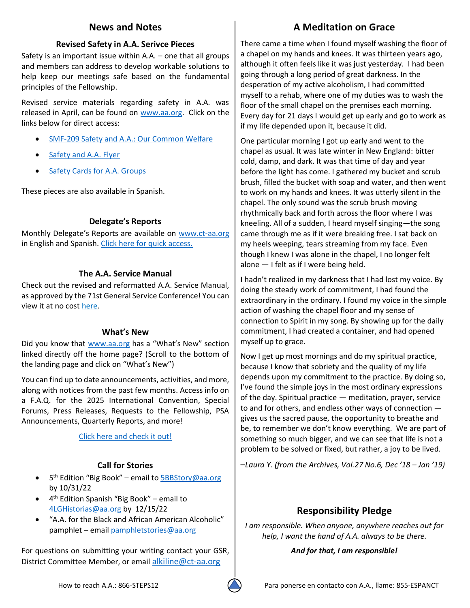## **News and Notes**

#### **Revised Safety in A.A. Serivce Pieces**

Safety is an important issue within A.A. – one that all groups and members can address to develop workable solutions to help keep our meetings safe based on the fundamental principles of the Fellowship.

Revised service materials regarding safety in A.A. was released in April, can be found on [www.aa.org.](http://www.aa.org/) Click on the links below for direct access:

- [SMF-209 Safety and A.A.: Our Common Welfare](https://www.aa.org/sites/default/files/literature/smf-209_en_0422_0.pdf)
- Safety and A.A. Flyer
- **[Safety Cards for A.A. Groups](https://www.aa.org/sites/default/files/literature/f-211_en_0422.pdf)**

These pieces are also available in Spanish.

#### **Delegate's Reports**

Monthly Delegate's Reports are available on [www.ct-aa.org](http://www.ct-aa.org/) in English and Spanish. [Click here for quick access.](https://ct-aa.org/delegates-report/)

#### **The A.A. Service Manual**

Check out the revised and reformatted A.A. Service Manual, as approved by the 71st General Service Conference! You can view it at no cost [here.](https://urldefense.com/v3/__https:/aa.org/assets/en_US/en_bm-31.pdf__;!!KCs9X-8!JVll3wwPJ--qTWfHZFiPWbyNvgQS1GFf5rUuhYWSSugDaobJwSCP7JOwe3RwCA9lgfTr$)

#### **What's New**

Did you know that [www.aa.org](http://www.aa.org/) has a "What's New" section linked directly off the home page? (Scroll to the bottom of the landing page and click on "What's New")

You can find up to date announcements, activities, and more, along with notices from the past few months. Access info on a F.A.Q. for the 2025 International Convention, Special Forums, Press Releases, Requests to the Fellowship, PSA Announcements, Quarterly Reports, and more!

[Click here and check it out!](https://www.aa.org/news-and-announcements)

### **Call for Stories**

- 5<sup>th</sup> Edition "Big Book" email to **5BBStory@aa.org** by 10/31/22
- 4 th Edition Spanish "Big Book" email to [4LGHistorias@aa.org](mailto:4LGHistorias@aa.org) by 12/15/22
- "A.A. for the Black and African American Alcoholic" pamphlet – emai[l pamphletstories@aa.org](mailto:pamphletstories@aa.org)

For questions on submitting your writing contact your GSR, District Committee Member, or email [alkiline@ct-aa.org](mailto:alkiline@ct-aa.org)

# **A Meditation on Grace**

There came a time when I found myself washing the floor of a chapel on my hands and knees. It was thirteen years ago, although it often feels like it was just yesterday. I had been going through a long period of great darkness. In the desperation of my active alcoholism, I had committed myself to a rehab, where one of my duties was to wash the floor of the small chapel on the premises each morning. Every day for 21 days I would get up early and go to work as if my life depended upon it, because it did.

One particular morning I got up early and went to the chapel as usual. It was late winter in New England: bitter cold, damp, and dark. It was that time of day and year before the light has come. I gathered my bucket and scrub brush, filled the bucket with soap and water, and then went to work on my hands and knees. It was utterly silent in the chapel. The only sound was the scrub brush moving rhythmically back and forth across the floor where I was kneeling. All of a sudden, I heard myself singing—the song came through me as if it were breaking free. I sat back on my heels weeping, tears streaming from my face. Even though I knew I was alone in the chapel, I no longer felt alone — I felt as if I were being held.

I hadn't realized in my darkness that I had lost my voice. By doing the steady work of commitment, I had found the extraordinary in the ordinary. I found my voice in the simple action of washing the chapel floor and my sense of connection to Spirit in my song. By showing up for the daily commitment, I had created a container, and had opened myself up to grace.

Now I get up most mornings and do my spiritual practice, because I know that sobriety and the quality of my life depends upon my commitment to the practice. By doing so, I've found the simple joys in the most ordinary expressions of the day. Spiritual practice — meditation, prayer, service to and for others, and endless other ways of connection gives us the sacred pause, the opportunity to breathe and be, to remember we don't know everything. We are part of something so much bigger, and we can see that life is not a problem to be solved or fixed, but rather, a joy to be lived.

–*Laura Y. (from the Archives, Vol.27 No.6, Dec '18 – Jan '19)*

# **Responsibility Pledge**

*I am responsible. When anyone, anywhere reaches out for help, I want the hand of A.A. always to be there.*

*And for that, I am responsible!*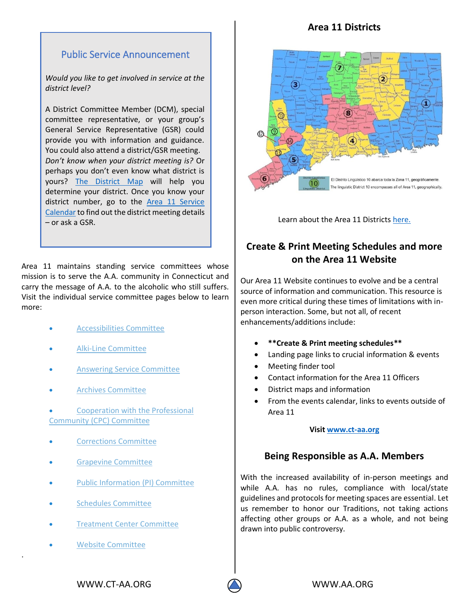## **Area 11 Districts**

# Public Service Announcement

*Would you like to get involved in service at the district level?*

district number, go to the **Area 11 Service**  [Calendar](https://ct-aa.org/area-11-service-calendar/) to find out the district meeting details A District Committee Member (DCM), special committee representative, or your group's General Service Representative (GSR) could provide you with information and guidance. You could also attend a district/GSR meeting. *Don't know when your district meeting is?* Or perhaps you don't even know what district is yours? [The District](https://ct-aa.org/members/#districts) Map will help you determine your district. Once you know your – or ask a GSR.

Area 11 maintains standing service committees whose mission is to serve the A.A. community in Connecticut and carry the message of A.A. to the alcoholic who still suffers. Visit the individual service committee pages below to learn more:

- [Accessibilities](https://ct-aa.org/accessibilities-committee/) Committee
- Alki-Line [Committee](https://ct-aa.org/alki-line/)
- Answering Service [Committee](https://ct-aa.org/answering-service/)
- Archives [Committee](https://ct-aa.org/archives/)
- [Cooperation](https://ct-aa.org/cooperation-with-the-professional-community/) with the Professional [Community](https://ct-aa.org/cooperation-with-the-professional-community/) (CPC) Committee
- [Corrections](https://ct-aa.org/corrections/) Committee
- Grapevine [Committee](https://ct-aa.org/grapevine-committee/)
- Public [Information](https://ct-aa.org/public-information/) (PI) Committee
- Schedules [Committee](https://ct-aa.org/schedules/)
- Treatment Center [Committee](https://ct-aa.org/treatment-center-committee/)
- Website [Committee](https://ct-aa.org/website-committee/)

.



Learn about the Area 11 District[s here.](https://ct-aa.org/members/)

# **Create & Print Meeting Schedules and more on the Area 11 Website**

Our Area 11 Website continues to evolve and be a central source of information and communication. This resource is even more critical during these times of limitations with inperson interaction. Some, but not all, of recent enhancements/additions include:

- **\*\*Create & Print meeting schedules\*\***
- Landing page links to crucial information & events
- Meeting finder tool
- Contact information for the Area 11 Officers
- District maps and information
- From the events calendar, links to events outside of Area 11

#### **Visit [www.ct-aa.org](http://www.ct-aa.org/)**

### **Being Responsible as A.A. Members**

With the increased availability of in-person meetings and while A.A. has no rules, compliance with local/state guidelines and protocols for meeting spaces are essential. Let us remember to honor our Traditions, not taking actions affecting other groups or A.A. as a whole, and not being drawn into public controversy.